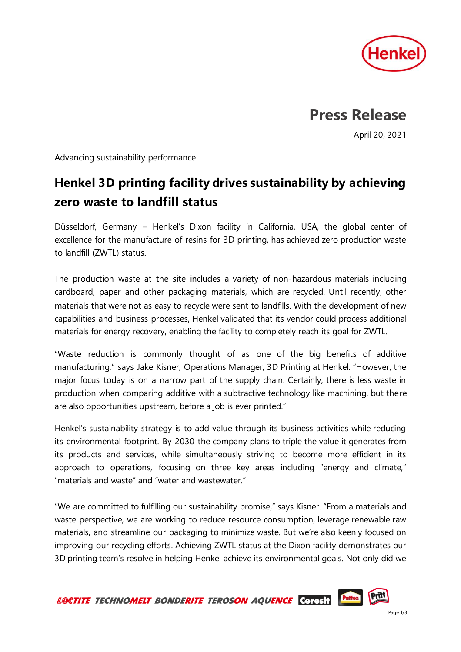

## **Press Release**

April 20, 2021

Advancing sustainability performance

## **Henkel 3D printing facility drives sustainability by achieving zero waste to landfill status**

Düsseldorf, Germany – Henkel's Dixon facility in California, USA, the global center of excellence for the manufacture of resins for 3D printing, has achieved zero production waste to landfill (ZWTL) status.

The production waste at the site includes a variety of non-hazardous materials including cardboard, paper and other packaging materials, which are recycled. Until recently, other materials that were not as easy to recycle were sent to landfills. With the development of new capabilities and business processes, Henkel validated that its vendor could process additional materials for energy recovery, enabling the facility to completely reach its goal for ZWTL.

"Waste reduction is commonly thought of as one of the big benefits of additive manufacturing," says Jake Kisner, Operations Manager, 3D Printing at Henkel. "However, the major focus today is on a narrow part of the supply chain. Certainly, there is less waste in production when comparing additive with a subtractive technology like machining, but there are also opportunities upstream, before a job is ever printed."

Henkel's sustainability strategy is to add value through its business activities while reducing its environmental footprint. By 2030 the company plans to triple the value it generates from its products and services, while simultaneously striving to become more efficient in its approach to operations, focusing on three key areas including "energy and climate," "materials and waste" and "water and wastewater."

"We are committed to fulfilling our sustainability promise," says Kisner. "From a materials and waste perspective, we are working to reduce resource consumption, leverage renewable raw materials, and streamline our packaging to minimize waste. But we're also keenly focused on improving our recycling efforts. Achieving ZWTL status at the Dixon facility demonstrates our 3D printing team's resolve in helping Henkel achieve its environmental goals. Not only did we

Pritt **Pattex** LOCTITE TECHNOMELT BONDERITE TEROSON AQUENCE Ceresit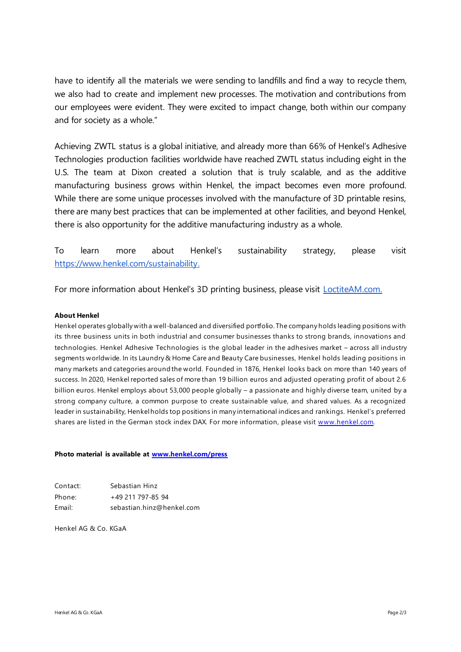have to identify all the materials we were sending to landfills and find a way to recycle them, we also had to create and implement new processes. The motivation and contributions from our employees were evident. They were excited to impact change, both within our company and for society as a whole."

Achieving ZWTL status is a global initiative, and already more than 66% of Henkel's Adhesive Technologies production facilities worldwide have reached ZWTL status including eight in the U.S. The team at Dixon created a solution that is truly scalable, and as the additive manufacturing business grows within Henkel, the impact becomes even more profound. While there are some unique processes involved with the manufacture of 3D printable resins, there are many best practices that can be implemented at other facilities, and beyond Henkel, there is also opportunity for the additive manufacturing industry as a whole.

To learn more about Henkel's sustainability strategy, please visit [https://www.henkel.com/sustainability.](https://www.henkel.com/sustainability)

For more information about Henkel's 3D printing business, please visit [LoctiteAM.com](https://www.loctiteam.com/).

## **About Henkel**

Henkel operates globally with a well-balanced and diversified portfolio. The company holds leading positions with its three business units in both industrial and consumer businesses thanks to strong brands, innovations and technologies. Henkel Adhesive Technologies is the global leader in the adhesives market – across all industry segments worldwide. In its Laundry & Home Care and Beauty Care businesses, Henkel holds leading positions in many markets and categories around the world. Founded in 1876, Henkel looks back on more than 140 years of success. In 2020, Henkel reported sales of more than 19 billion euros and adjusted operating profit of about 2.6 billion euros. Henkel employs about 53,000 people globally – a passionate and highly diverse team, united by a strong company culture, a common purpose to create sustainable value, and shared values. As a recognized leader in sustainability, Henkel holds top positions in many international indices and rankings. Henkel's preferred shares are listed in the German stock index DAX. For more information, please v[isit www.henkel.c](file:///C:/Users/fischerl/AppData/Local/Microsoft/Windows/INetCache/Content.Outlook/2MGCYH4Y/www.henkel.com)om.

## **Photo material is available at [www.henkel.com/press](http://www.henkel.com/press)**

| Contact: | Sebastian Hinz            |
|----------|---------------------------|
| Phone:   | +49 211 797-85 94         |
| Email:   | sebastian.hinz@henkel.com |

Henkel AG & Co. KGaA